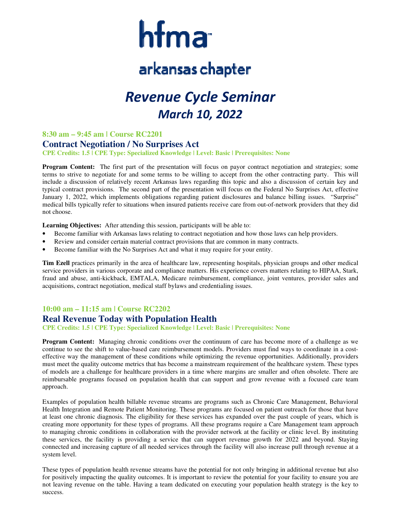

# arkansas chapter

## *Revenue Cycle Seminar March 10, 2022*

#### **8:30 am – 9:45 am | Course RC2201**

#### **Contract Negotiation / No Surprises Act**

**CPE Credits: 1.5 | CPE Type: Specialized Knowledge | Level: Basic | Prerequisites: None** 

**Program Content:** The first part of the presentation will focus on payor contract negotiation and strategies; some terms to strive to negotiate for and some terms to be willing to accept from the other contracting party. This will include a discussion of relatively recent Arkansas laws regarding this topic and also a discussion of certain key and typical contract provisions. The second part of the presentation will focus on the Federal No Surprises Act, effective January 1, 2022, which implements obligations regarding patient disclosures and balance billing issues. "Surprise" medical bills typically refer to situations when insured patients receive care from out-of-network providers that they did not choose.

**Learning Objectives:** After attending this session, participants will be able to:

- Become familiar with Arkansas laws relating to contract negotiation and how those laws can help providers.
- Review and consider certain material contract provisions that are common in many contracts.
- Become familiar with the No Surprises Act and what it may require for your entity.

**Tim Ezell** practices primarily in the area of healthcare law, representing hospitals, physician groups and other medical service providers in various corporate and compliance matters. His experience covers matters relating to HIPAA, Stark, fraud and abuse, anti-kickback, EMTALA, Medicare reimbursement, compliance, joint ventures, provider sales and acquisitions, contract negotiation, medical staff bylaws and credentialing issues.

#### **10:00 am – 11:15 am | Course RC2202**

### **Real Revenue Today with Population Health**

**CPE Credits: 1.5 | CPE Type: Specialized Knowledge | Level: Basic | Prerequisites: None**

**Program Content:** Managing chronic conditions over the continuum of care has become more of a challenge as we continue to see the shift to value-based care reimbursement models. Providers must find ways to coordinate in a costeffective way the management of these conditions while optimizing the revenue opportunities. Additionally, providers must meet the quality outcome metrics that has become a mainstream requirement of the healthcare system. These types of models are a challenge for healthcare providers in a time where margins are smaller and often obsolete. There are reimbursable programs focused on population health that can support and grow revenue with a focused care team approach.

Examples of population health billable revenue streams are programs such as Chronic Care Management, Behavioral Health Integration and Remote Patient Monitoring. These programs are focused on patient outreach for those that have at least one chronic diagnosis. The eligibility for these services has expanded over the past couple of years, which is creating more opportunity for these types of programs. All these programs require a Care Management team approach to managing chronic conditions in collaboration with the provider network at the facility or clinic level. By instituting these services, the facility is providing a service that can support revenue growth for 2022 and beyond. Staying connected and increasing capture of all needed services through the facility will also increase pull through revenue at a system level.

These types of population health revenue streams have the potential for not only bringing in additional revenue but also for positively impacting the quality outcomes. It is important to review the potential for your facility to ensure you are not leaving revenue on the table. Having a team dedicated on executing your population health strategy is the key to success.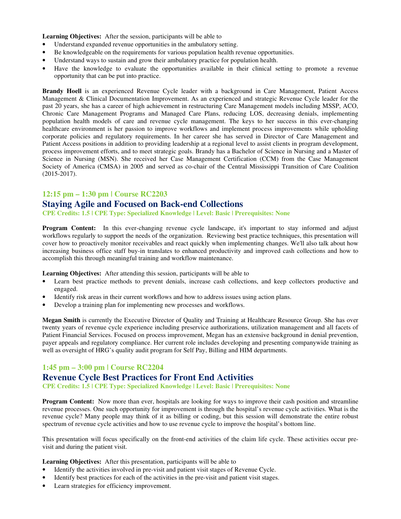**Learning Objectives:** After the session, participants will be able to

- Understand expanded revenue opportunities in the ambulatory setting.
- Be knowledgeable on the requirements for various population health revenue opportunities.
- Understand ways to sustain and grow their ambulatory practice for population health.
- Have the knowledge to evaluate the opportunities available in their clinical setting to promote a revenue opportunity that can be put into practice.

**Brandy Hoell** is an experienced Revenue Cycle leader with a background in Care Management, Patient Access Management & Clinical Documentation Improvement. As an experienced and strategic Revenue Cycle leader for the past 20 years, she has a career of high achievement in restructuring Care Management models including MSSP, ACO, Chronic Care Management Programs and Managed Care Plans, reducing LOS, decreasing denials, implementing population health models of care and revenue cycle management. The keys to her success in this ever-changing healthcare environment is her passion to improve workflows and implement process improvements while upholding corporate policies and regulatory requirements. In her career she has served in Director of Care Management and Patient Access positions in addition to providing leadership at a regional level to assist clients in program development, process improvement efforts, and to meet strategic goals. Brandy has a Bachelor of Science in Nursing and a Master of Science in Nursing (MSN). She received her Case Management Certification (CCM) from the Case Management Society of America (CMSA) in 2005 and served as co-chair of the Central Mississippi Transition of Care Coalition (2015-2017).

#### **12:15 pm – 1:30 pm | Course RC2203**

#### **Staying Agile and Focused on Back-end Collections**

**CPE Credits: 1.5 | CPE Type: Specialized Knowledge | Level: Basic | Prerequisites: None** 

**Program Content:** In this ever-changing revenue cycle landscape, it's important to stay informed and adjust workflows regularly to support the needs of the organization. Reviewing best practice techniques, this presentation will cover how to proactively monitor receivables and react quickly when implementing changes. We'll also talk about how increasing business office staff buy-in translates to enhanced productivity and improved cash collections and how to accomplish this through meaningful training and workflow maintenance.

**Learning Objectives:** After attending this session, participants will be able to

- Learn best practice methods to prevent denials, increase cash collections, and keep collectors productive and engaged.
- Identify risk areas in their current workflows and how to address issues using action plans.
- Develop a training plan for implementing new processes and workflows.

**Megan Smith** is currently the Executive Director of Quality and Training at Healthcare Resource Group. She has over twenty years of revenue cycle experience including preservice authorizations, utilization management and all facets of Patient Financial Services. Focused on process improvement, Megan has an extensive background in denial prevention, payer appeals and regulatory compliance. Her current role includes developing and presenting companywide training as well as oversight of HRG's quality audit program for Self Pay, Billing and HIM departments.

#### **1:45 pm – 3:00 pm | Course RC2204**

#### **Revenue Cycle Best Practices for Front End Activities**

**CPE Credits: 1.5 | CPE Type: Specialized Knowledge | Level: Basic | Prerequisites: None** 

**Program Content:** Now more than ever, hospitals are looking for ways to improve their cash position and streamline revenue processes. One such opportunity for improvement is through the hospital's revenue cycle activities. What is the revenue cycle? Many people may think of it as billing or coding, but this session will demonstrate the entire robust spectrum of revenue cycle activities and how to use revenue cycle to improve the hospital's bottom line.

This presentation will focus specifically on the front-end activities of the claim life cycle. These activities occur previsit and during the patient visit.

**Learning Objectives:** After this presentation, participants will be able to

- Identify the activities involved in pre-visit and patient visit stages of Revenue Cycle.
- Identify best practices for each of the activities in the pre-visit and patient visit stages.
- Learn strategies for efficiency improvement.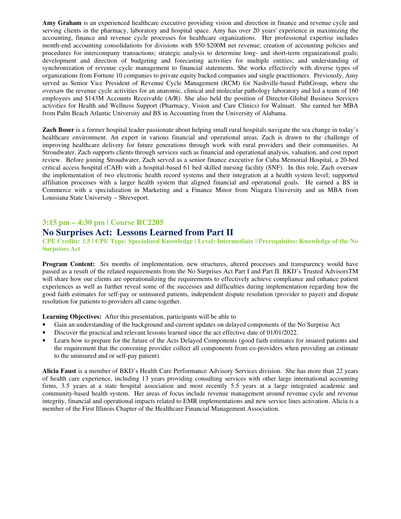**Amy Graham** is an experienced healthcare executive providing vision and direction in finance and revenue cycle and serving clients in the pharmacy, laboratory and hospital space. Amy has over 20 years' experience in maximizing the accounting, finance and revenue cycle processes for healthcare organizations. Her professional expertise includes month-end accounting consolidations for divisions with \$50-\$200M net revenue; creation of accounting policies and procedures for intercompany transactions; strategic analysis to determine long- and short-term organizational goals; development and direction of budgeting and forecasting activities for multiple entities; and understanding of synchronization of revenue cycle management to financial statements. She works effectively with diverse types of organizations from Fortune 10 companies to private equity backed companies and single practitioners. Previously, Amy served as Senior Vice President of Revenue Cycle Management (RCM) for Nashville-based PathGroup, where she oversaw the revenue cycle activities for an anatomic, clinical and molecular pathology laboratory and led a team of 160 employees and \$143M Accounts Receivable (A/R). She also held the position of Director-Global Business Services activities for Health and Wellness Support (Pharmacy, Vision and Care Clinics) for Walmart. She earned her MBA from Palm Beach Atlantic University and BS in Accounting from the University of Alabama.

**Zach Boser** is a former hospital leader passionate about helping small rural hospitals navigate the sea change in today's healthcare environment. An expert in various financial and operational areas, Zach is drawn to the challenge of improving healthcare delivery for future generations through work with rural providers and their communities. At Stroudwater, Zach supports clients through services such as financial and operational analysis, valuation, and cost report review. Before joining Stroudwater, Zach served as a senior finance executive for Cuba Memorial Hospital, a 20-bed critical access hospital (CAH) with a hospital-based 61 bed skilled nursing facility (SNF). In this role, Zach oversaw the implementation of two electronic health record systems and their integration at a health system level; supported affiliation processes with a larger health system that aligned financial and operational goals. He earned a BS in Commerce with a specialization in Marketing and a Finance Minor from Niagara University and an MBA from Louisiana State University – Shreveport.

#### **3:15 pm – 4:30 pm | Course RC2205**

#### **No Surprises Act: Lessons Learned from Part II**

**CPE Credits: 1.5 | CPE Type: Specialized Knowledge | Level: Intermediate | Prerequisites: Knowledge of the No Surprises Act** 

**Program Content:** Six months of implementation, new structures, altered processes and transparency would have passed as a result of the related requirements from the No Surprises Act Part I and Part II. BKD's Trusted AdvisorsTM will share how our clients are operationalizing the requirements to effectively achieve compliance and enhance patient experiences as well as further reveal some of the successes and difficulties during implementation regarding how the good faith estimates for self-pay or uninsured patients, independent dispute resolution (provider to payer) and dispute resolution for patients to providers all came together.

**Learning Objectives:** After this presentation, participants will be able to

- Gain an understanding of the background and current updates on delayed components of the No Surprise Act
- Discover the practical and relevant lessons learned since the act effective date of 01/01/2022.
- Learn how to prepare for the future of the Acts Delayed Components (good faith estimates for insured patients and the requirement that the convening provider collect all components from co-providers when providing an estimate to the uninsured and or self-pay patient).

**Alicia Faust** is a member of BKD's Health Care Performance Advisory Services division. She has more than 22 years of health care experience, including 13 years providing consulting services with other large international accounting firms, 3.5 years at a state hospital association and most recently 5.5 years at a large integrated academic and community-based health system. Her areas of focus include revenue management around revenue cycle and revenue integrity, financial and operational impacts related to EMR implementations and new service lines activation. Alicia is a member of the First Illinois Chapter of the Healthcare Financial Management Association.